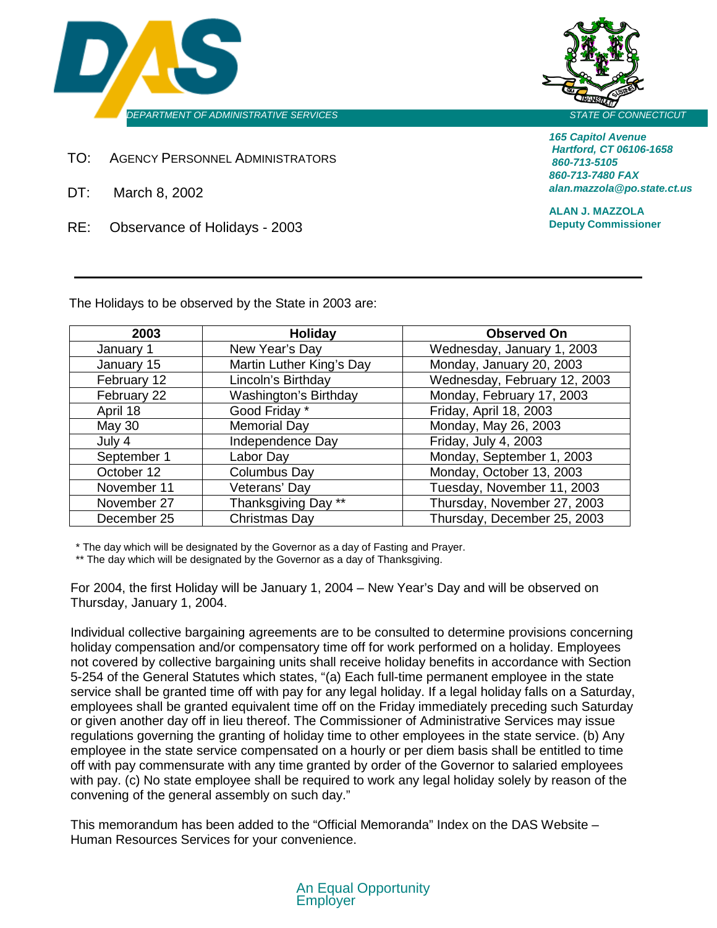



*165 Capitol Avenue Hartford, CT 06106-1658 860-713-5105 860-713-7480 FAX alan.mazzola@po.state.ct.us*

**ALAN J. MAZZOLA Deputy Commissioner**

TO: AGENCY PERSONNEL ADMINISTRATORS

- DT: March 8, 2002
- RE: Observance of Holidays 2003

The Holidays to be observed by the State in 2003 are:

| 2003          | Holiday                      | <b>Observed On</b>           |
|---------------|------------------------------|------------------------------|
| January 1     | New Year's Day               | Wednesday, January 1, 2003   |
| January 15    | Martin Luther King's Day     | Monday, January 20, 2003     |
| February 12   | Lincoln's Birthday           | Wednesday, February 12, 2003 |
| February 22   | <b>Washington's Birthday</b> | Monday, February 17, 2003    |
| April 18      | Good Friday *                | Friday, April 18, 2003       |
| <b>May 30</b> | <b>Memorial Day</b>          | Monday, May 26, 2003         |
| July 4        | Independence Day             | Friday, July 4, 2003         |
| September 1   | Labor Day                    | Monday, September 1, 2003    |
| October 12    | Columbus Day                 | Monday, October 13, 2003     |
| November 11   | Veterans' Day                | Tuesday, November 11, 2003   |
| November 27   | Thanksgiving Day **          | Thursday, November 27, 2003  |
| December 25   | Christmas Day                | Thursday, December 25, 2003  |

\* The day which will be designated by the Governor as a day of Fasting and Prayer.

\*\* The day which will be designated by the Governor as a day of Thanksgiving.

For 2004, the first Holiday will be January 1, 2004 – New Year's Day and will be observed on Thursday, January 1, 2004.

Individual collective bargaining agreements are to be consulted to determine provisions concerning holiday compensation and/or compensatory time off for work performed on a holiday. Employees not covered by collective bargaining units shall receive holiday benefits in accordance with Section 5-254 of the General Statutes which states, "(a) Each full-time permanent employee in the state service shall be granted time off with pay for any legal holiday. If a legal holiday falls on a Saturday, employees shall be granted equivalent time off on the Friday immediately preceding such Saturday or given another day off in lieu thereof. The Commissioner of Administrative Services may issue regulations governing the granting of holiday time to other employees in the state service. (b) Any employee in the state service compensated on a hourly or per diem basis shall be entitled to time off with pay commensurate with any time granted by order of the Governor to salaried employees with pay. (c) No state employee shall be required to work any legal holiday solely by reason of the convening of the general assembly on such day."

This memorandum has been added to the "Official Memoranda" Index on the DAS Website – Human Resources Services for your convenience.